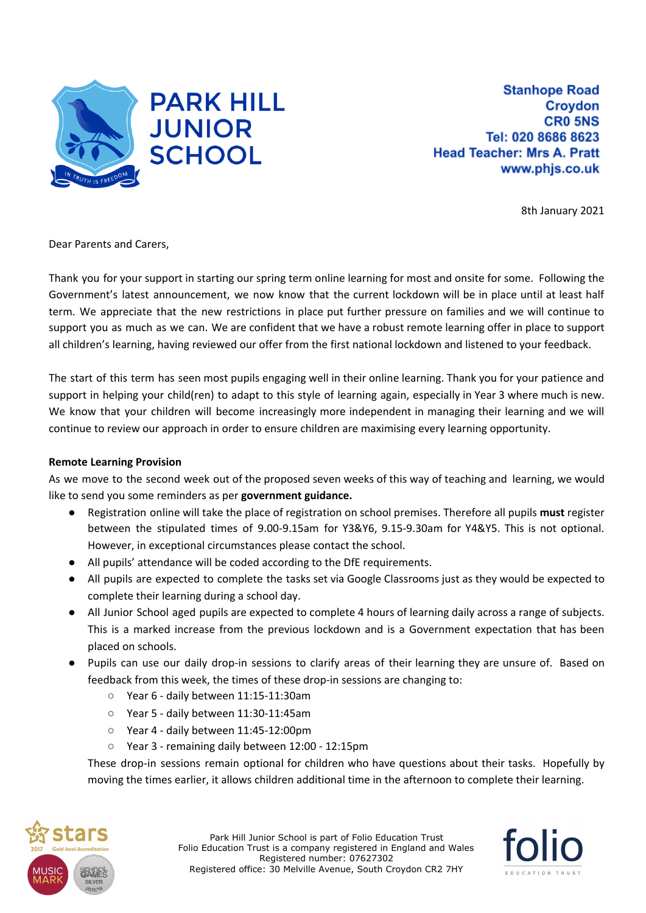

**Stanhope Road Croydon CRO 5NS** Tel: 020 8686 8623 **Head Teacher: Mrs A. Pratt** www.phjs.co.uk

8th January 2021

Dear Parents and Carers,

Thank you for your support in starting our spring term online learning for most and onsite for some. Following the Government's latest announcement, we now know that the current lockdown will be in place until at least half term. We appreciate that the new restrictions in place put further pressure on families and we will continue to support you as much as we can. We are confident that we have a robust remote learning offer in place to support all children's learning, having reviewed our offer from the first national lockdown and listened to your feedback.

The start of this term has seen most pupils engaging well in their online learning. Thank you for your patience and support in helping your child(ren) to adapt to this style of learning again, especially in Year 3 where much is new. We know that your children will become increasingly more independent in managing their learning and we will continue to review our approach in order to ensure children are maximising every learning opportunity.

## **Remote Learning Provision**

As we move to the second week out of the proposed seven weeks of this way of teaching and learning, we would like to send you some reminders as per **government guidance.**

- Registration online will take the place of registration on school premises. Therefore all pupils **must** register between the stipulated times of 9.00-9.15am for Y3&Y6, 9.15-9.30am for Y4&Y5. This is not optional. However, in exceptional circumstances please contact the school.
- All pupils' attendance will be coded according to the DfE requirements.
- All pupils are expected to complete the tasks set via Google Classrooms just as they would be expected to complete their learning during a school day.
- All Junior School aged pupils are expected to complete 4 hours of learning daily across a range of subjects. This is a marked increase from the previous lockdown and is a Government expectation that has been placed on schools.
- Pupils can use our daily drop-in sessions to clarify areas of their learning they are unsure of. Based on feedback from this week, the times of these drop-in sessions are changing to:
	- Year 6 daily between 11:15-11:30am
	- Year 5 daily between 11:30-11:45am
	- Year 4 daily between 11:45-12:00pm
	- Year 3 remaining daily between 12:00 12:15pm

These drop-in sessions remain optional for children who have questions about their tasks. Hopefully by moving the times earlier, it allows children additional time in the afternoon to complete their learning.



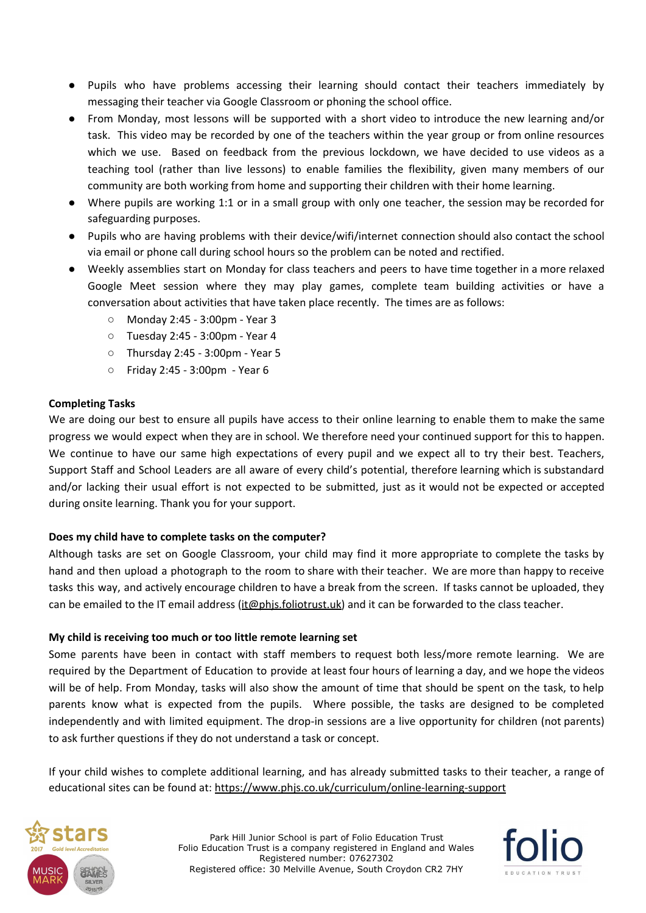- Pupils who have problems accessing their learning should contact their teachers immediately by messaging their teacher via Google Classroom or phoning the school office.
- From Monday, most lessons will be supported with a short video to introduce the new learning and/or task. This video may be recorded by one of the teachers within the year group or from online resources which we use. Based on feedback from the previous lockdown, we have decided to use videos as a teaching tool (rather than live lessons) to enable families the flexibility, given many members of our community are both working from home and supporting their children with their home learning.
- Where pupils are working 1:1 or in a small group with only one teacher, the session may be recorded for safeguarding purposes.
- Pupils who are having problems with their device/wifi/internet connection should also contact the school via email or phone call during school hours so the problem can be noted and rectified.
- Weekly assemblies start on Monday for class teachers and peers to have time together in a more relaxed Google Meet session where they may play games, complete team building activities or have a conversation about activities that have taken place recently. The times are as follows:
	- Monday 2:45 3:00pm Year 3
	- Tuesday 2:45 3:00pm Year 4
	- Thursday 2:45 3:00pm Year 5
	- Friday 2:45 3:00pm Year 6

## **Completing Tasks**

We are doing our best to ensure all pupils have access to their online learning to enable them to make the same progress we would expect when they are in school. We therefore need your continued support for this to happen. We continue to have our same high expectations of every pupil and we expect all to try their best. Teachers, Support Staff and School Leaders are all aware of every child's potential, therefore learning which is substandard and/or lacking their usual effort is not expected to be submitted, just as it would not be expected or accepted during onsite learning. Thank you for your support.

## **Does my child have to complete tasks on the computer?**

Although tasks are set on Google Classroom, your child may find it more appropriate to complete the tasks by hand and then upload a photograph to the room to share with their teacher. We are more than happy to receive tasks this way, and actively encourage children to have a break from the screen. If tasks cannot be uploaded, they can be emailed to the IT email address (*[it@phjs.foliotrust.uk](mailto:it@phjs.foliotrust.uk)*) and it can be forwarded to the class teacher.

#### **My child is receiving too much or too little remote learning set**

Some parents have been in contact with staff members to request both less/more remote learning. We are required by the Department of Education to provide at least four hours of learning a day, and we hope the videos will be of help. From Monday, tasks will also show the amount of time that should be spent on the task, to help parents know what is expected from the pupils. Where possible, the tasks are designed to be completed independently and with limited equipment. The drop-in sessions are a live opportunity for children (not parents) to ask further questions if they do not understand a task or concept.

If your child wishes to complete additional learning, and has already submitted tasks to their teacher, a range of educational sites can be found at: <https://www.phjs.co.uk/curriculum/online-learning-support>



Park Hill Junior School is part of Folio Education Trust Folio Education Trust is a company registered in England and Wales Registered number: 07627302 Registered office: 30 Melville Avenue, South Croydon CR2 7HY